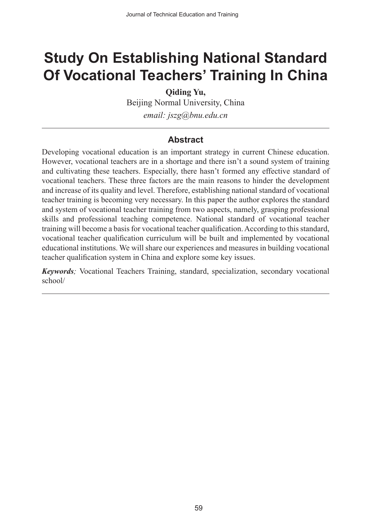# **Study On Establishing National Standard Of Vocational Teachers' Training In China**

**Qiding Yu,**

Beijing Normal University, China *email: jszg@bnu.edu.cn*

#### **Abstract**

Developing vocational education is an important strategy in current Chinese education. However, vocational teachers are in a shortage and there isn't a sound system of training and cultivating these teachers. Especially, there hasn't formed any effective standard of vocational teachers. These three factors are the main reasons to hinder the development and increase of its quality and level. Therefore, establishing national standard of vocational teacher training is becoming very necessary. In this paper the author explores the standard and system of vocational teacher training from two aspects, namely, grasping professional skills and professional teaching competence. National standard of vocational teacher training will become a basis for vocational teacher qualification. According to this standard, vocational teacher qualification curriculum will be built and implemented by vocational educational institutions. We will share our experiences and measures in building vocational teacher qualification system in China and explore some key issues.

*Keywords;* Vocational Teachers Training, standard, specialization, secondary vocational school/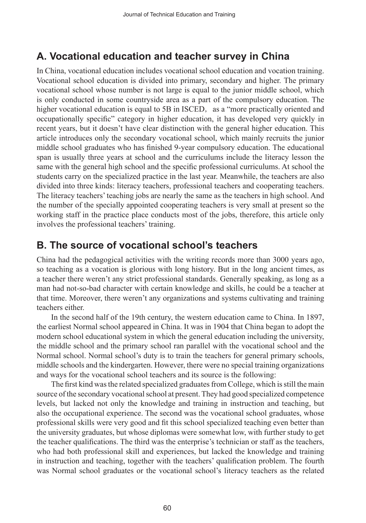## **A. Vocational education and teacher survey in China**

In China, vocational education includes vocational school education and vocation training. Vocational school education is divided into primary, secondary and higher. The primary vocational school whose number is not large is equal to the junior middle school, which is only conducted in some countryside area as a part of the compulsory education. The higher vocational education is equal to 5B in ISCED, as a "more practically oriented and occupationally specific" category in higher education, it has developed very quickly in recent years, but it doesn't have clear distinction with the general higher education. This article introduces only the secondary vocational school, which mainly recruits the junior middle school graduates who has finished 9-year compulsory education. The educational span is usually three years at school and the curriculums include the literacy lesson the same with the general high school and the specific professional curriculums. At school the students carry on the specialized practice in the last year. Meanwhile, the teachers are also divided into three kinds: literacy teachers, professional teachers and cooperating teachers. The literacy teachers' teaching jobs are nearly the same as the teachers in high school. And the number of the specially appointed cooperating teachers is very small at present so the working staff in the practice place conducts most of the jobs, therefore, this article only involves the professional teachers' training.

## **B. The source of vocational school's teachers**

China had the pedagogical activities with the writing records more than 3000 years ago, so teaching as a vocation is glorious with long history. But in the long ancient times, as a teacher there weren't any strict professional standards. Generally speaking, as long as a man had not-so-bad character with certain knowledge and skills, he could be a teacher at that time. Moreover, there weren't any organizations and systems cultivating and training teachers either.

In the second half of the 19th century, the western education came to China. In 1897, the earliest Normal school appeared in China. It was in 1904 that China began to adopt the modern school educational system in which the general education including the university, the middle school and the primary school ran parallel with the vocational school and the Normal school. Normal school's duty is to train the teachers for general primary schools, middle schools and the kindergarten. However, there were no special training organizations and ways for the vocational school teachers and its source is the following:

The first kind was the related specialized graduates from College, which is still the main source of the secondary vocational school at present. They had good specialized competence levels, but lacked not only the knowledge and training in instruction and teaching, but also the occupational experience. The second was the vocational school graduates, whose professional skills were very good and fit this school specialized teaching even better than the university graduates, but whose diplomas were somewhat low, with further study to get the teacher qualifications. The third was the enterprise's technician or staff as the teachers, who had both professional skill and experiences, but lacked the knowledge and training in instruction and teaching, together with the teachers' qualification problem. The fourth was Normal school graduates or the vocational school's literacy teachers as the related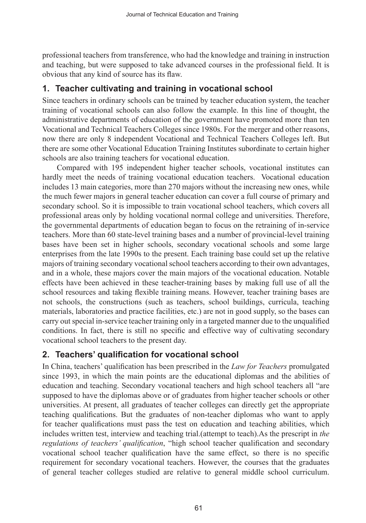professional teachers from transference, who had the knowledge and training in instruction and teaching, but were supposed to take advanced courses in the professional field. It is obvious that any kind of source has its flaw.

#### **1. Teacher cultivating and training in vocational school**

Since teachers in ordinary schools can be trained by teacher education system, the teacher training of vocational schools can also follow the example. In this line of thought, the administrative departments of education of the government have promoted more than ten Vocational and Technical Teachers Colleges since 1980s. For the merger and other reasons, now there are only 8 independent Vocational and Technical Teachers Colleges left. But there are some other Vocational Education Training Institutes subordinate to certain higher schools are also training teachers for vocational education.

Compared with 195 independent higher teacher schools, vocational institutes can hardly meet the needs of training vocational education teachers. Vocational education includes 13 main categories, more than 270 majors without the increasing new ones, while the much fewer majors in general teacher education can cover a full course of primary and secondary school. So it is impossible to train vocational school teachers, which covers all professional areas only by holding vocational normal college and universities. Therefore, the governmental departments of education began to focus on the retraining of in-service teachers. More than 60 state-level training bases and a number of provincial-level training bases have been set in higher schools, secondary vocational schools and some large enterprises from the late 1990s to the present. Each training base could set up the relative majors of training secondary vocational school teachers according to their own advantages, and in a whole, these majors cover the main majors of the vocational education. Notable effects have been achieved in these teacher-training bases by making full use of all the school resources and taking flexible training means. However, teacher training bases are not schools, the constructions (such as teachers, school buildings, curricula, teaching materials, laboratories and practice facilities, etc.) are not in good supply, so the bases can carry out special in-service teacher training only in a targeted manner due to the unqualified conditions. In fact, there is still no specific and effective way of cultivating secondary vocational school teachers to the present day.

#### **2. Teachers' qualification for vocational school**

In China, teachers' qualification has been prescribed in the *Law for Teachers* promulgated since 1993, in which the main points are the educational diplomas and the abilities of education and teaching. Secondary vocational teachers and high school teachers all "are supposed to have the diplomas above or of graduates from higher teacher schools or other universities. At present, all graduates of teacher colleges can directly get the appropriate teaching qualifications. But the graduates of non-teacher diplomas who want to apply for teacher qualifications must pass the test on education and teaching abilities, which includes written test, interview and teaching trial.(attempt to teach).As the prescript in *the regulations of teachers' qualification*, "high school teacher qualification and secondary vocational school teacher qualification have the same effect, so there is no specific requirement for secondary vocational teachers. However, the courses that the graduates of general teacher colleges studied are relative to general middle school curriculum.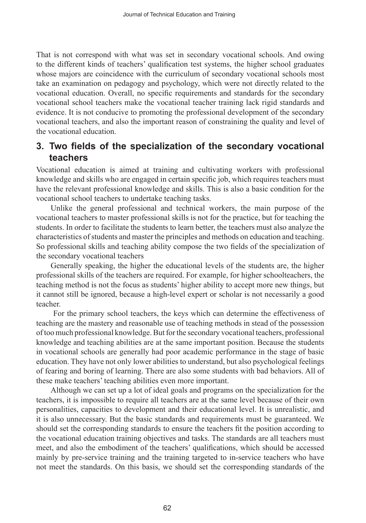That is not correspond with what was set in secondary vocational schools. And owing to the different kinds of teachers' qualification test systems, the higher school graduates whose majors are coincidence with the curriculum of secondary vocational schools most take an examination on pedagogy and psychology, which were not directly related to the vocational education. Overall, no specific requirements and standards for the secondary vocational school teachers make the vocational teacher training lack rigid standards and evidence. It is not conducive to promoting the professional development of the secondary vocational teachers, and also the important reason of constraining the quality and level of the vocational education.

### **3. Two fields of the specialization of the secondary vocational teachers**

Vocational education is aimed at training and cultivating workers with professional knowledge and skills who are engaged in certain specific job, which requires teachers must have the relevant professional knowledge and skills. This is also a basic condition for the vocational school teachers to undertake teaching tasks.

Unlike the general professional and technical workers, the main purpose of the vocational teachers to master professional skills is not for the practice, but for teaching the students. In order to facilitate the students to learn better, the teachers must also analyze the characteristics of students and master the principles and methods on education and teaching. So professional skills and teaching ability compose the two fields of the specialization of the secondary vocational teachers

Generally speaking, the higher the educational levels of the students are, the higher professional skills of the teachers are required. For example, for higher schoolteachers, the teaching method is not the focus as students' higher ability to accept more new things, but it cannot still be ignored, because a high-level expert or scholar is not necessarily a good teacher.

 For the primary school teachers, the keys which can determine the effectiveness of teaching are the mastery and reasonable use of teaching methods in stead of the possession of too much professional knowledge. But for the secondary vocational teachers, professional knowledge and teaching abilities are at the same important position. Because the students in vocational schools are generally had poor academic performance in the stage of basic education. They have not only lower abilities to understand, but also psychological feelings of fearing and boring of learning. There are also some students with bad behaviors. All of these make teachers' teaching abilities even more important.

Although we can set up a lot of ideal goals and programs on the specialization for the teachers, it is impossible to require all teachers are at the same level because of their own personalities, capacities to development and their educational level. It is unrealistic, and it is also unnecessary. But the basic standards and requirements must be guaranteed. We should set the corresponding standards to ensure the teachers fit the position according to the vocational education training objectives and tasks. The standards are all teachers must meet, and also the embodiment of the teachers' qualifications, which should be accessed mainly by pre-service training and the training targeted to in-service teachers who have not meet the standards. On this basis, we should set the corresponding standards of the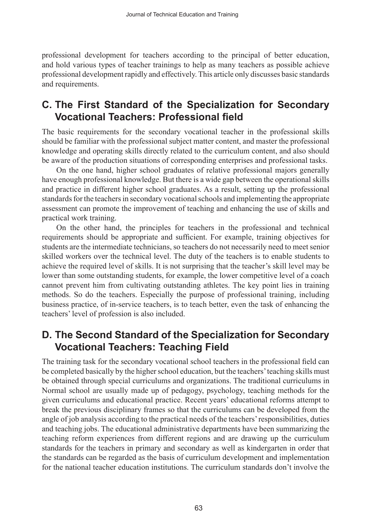professional development for teachers according to the principal of better education, and hold various types of teacher trainings to help as many teachers as possible achieve professional development rapidly and effectively. This article only discusses basic standards and requirements.

## **C. The First Standard of the Specialization for Secondary Vocational Teachers: Professional field**

The basic requirements for the secondary vocational teacher in the professional skills should be familiar with the professional subject matter content, and master the professional knowledge and operating skills directly related to the curriculum content, and also should be aware of the production situations of corresponding enterprises and professional tasks.

On the one hand, higher school graduates of relative professional majors generally have enough professional knowledge. But there is a wide gap between the operational skills and practice in different higher school graduates. As a result, setting up the professional standards for the teachers in secondary vocational schools and implementing the appropriate assessment can promote the improvement of teaching and enhancing the use of skills and practical work training.

On the other hand, the principles for teachers in the professional and technical requirements should be appropriate and sufficient. For example, training objectives for students are the intermediate technicians, so teachers do not necessarily need to meet senior skilled workers over the technical level. The duty of the teachers is to enable students to achieve the required level of skills. It is not surprising that the teacher's skill level may be lower than some outstanding students, for example, the lower competitive level of a coach cannot prevent him from cultivating outstanding athletes. The key point lies in training methods. So do the teachers. Especially the purpose of professional training, including business practice, of in-service teachers, is to teach better, even the task of enhancing the teachers' level of profession is also included.

## **D. The Second Standard of the Specialization for Secondary Vocational Teachers: Teaching Field**

The training task for the secondary vocational school teachers in the professional field can be completed basically by the higher school education, but the teachers' teaching skills must be obtained through special curriculums and organizations. The traditional curriculums in Normal school are usually made up of pedagogy, psychology, teaching methods for the given curriculums and educational practice. Recent years' educational reforms attempt to break the previous disciplinary frames so that the curriculums can be developed from the angle of job analysis according to the practical needs of the teachers' responsibilities, duties and teaching jobs. The educational administrative departments have been summarizing the teaching reform experiences from different regions and are drawing up the curriculum standards for the teachers in primary and secondary as well as kindergarten in order that the standards can be regarded as the basis of curriculum development and implementation for the national teacher education institutions. The curriculum standards don't involve the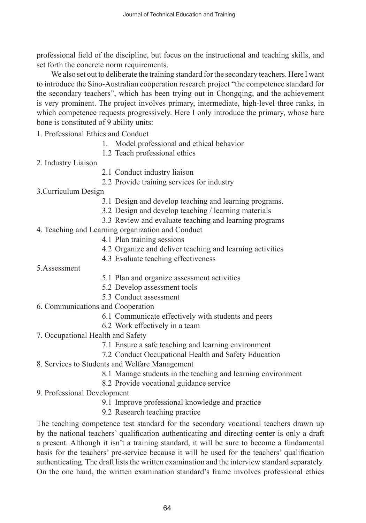professional field of the discipline, but focus on the instructional and teaching skills, and set forth the concrete norm requirements.

We also set out to deliberate the training standard for the secondary teachers. Here I want to introduce the Sino-Australian cooperation research project "the competence standard for the secondary teachers", which has been trying out in Chongqing, and the achievement is very prominent. The project involves primary, intermediate, high-level three ranks, in which competence requests progressively. Here I only introduce the primary, whose bare bone is constituted of 9 ability units:

1. Professional Ethics and Conduct

- 1. Model professional and ethical behavior
- 1.2 Teach professional ethics
- 2. Industry Liaison
- 2.1 Conduct industry liaison
- 2.2 Provide training services for industry
- 3.Curriculum Design
	- 3.1 Design and develop teaching and learning programs.
	- 3.2 Design and develop teaching / learning materials
	- 3.3 Review and evaluate teaching and learning programs

4. Teaching and Learning organization and Conduct

- 4.1 Plan training sessions
- 4.2 Organize and deliver teaching and learning activities
- 4.3 Evaluate teaching effectiveness
- 5.Assessment
- 5.1 Plan and organize assessment activities
- 5.2 Develop assessment tools
- 5.3 Conduct assessment
- 6. Communications and Cooperation
	- 6.1 Communicate effectively with students and peers
	- 6.2 Work effectively in a team
- 7. Occupational Health and Safety
	- 7.1 Ensure a safe teaching and learning environment
	- 7.2 Conduct Occupational Health and Safety Education
- 8. Services to Students and Welfare Management
	- 8.1 Manage students in the teaching and learning environment
	- 8.2 Provide vocational guidance service
- 9. Professional Development
	- 9.1 Improve professional knowledge and practice
	- 9.2 Research teaching practice

The teaching competence test standard for the secondary vocational teachers drawn up by the national teachers' qualification authenticating and directing center is only a draft a present. Although it isn't a training standard, it will be sure to become a fundamental basis for the teachers' pre-service because it will be used for the teachers' qualification authenticating. The draft lists the written examination and the interview standard separately. On the one hand, the written examination standard's frame involves professional ethics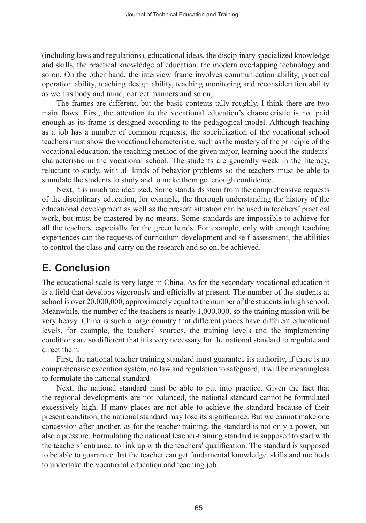(including laws and regulations), educational ideas, the disciplinary specialized knowledge and skills, the practical knowledge of education, the modern overlapping technology and so on. On the other hand, the interview frame involves communication ability, practical operation ability, teaching design ability, teaching monitoring and reconsideration ability as well as body and mind, correct manners and so on,

The frames are different, but the basic contents tally roughly. I think there are two main flaws. First, the attention to the vocational education's characteristic is not paid enough as its frame is designed according to the pedagogical model. Although teaching as a job has a number of common requests, the specialization of the vocational school teachers must show the vocational characteristic, such as the mastery of the principle of the vocational education, the teaching method of the given major, learning about the students' characteristic in the vocational school. The students are generally weak in the literacy, reluctant to study, with all kinds of behavior problems so the teachers must be able to stimulate the students to study and to make them get enough confidence.

Next, it is much too idealized. Some standards stem from the comprehensive requests of the disciplinary education, for example, the thorough understanding the history of the educational development as well as the present situation can be used in teachers' practical work, but must be mastered by no means. Some standards are impossible to achieve for all the teachers, especially for the green hands. For example, only with enough teaching experiences can the requests of curriculum development and self-assessment, the abilities to control the class and carry on the research and so on, be achieved.

# **E. Conclusion**

The educational scale is very large in China. As for the secondary vocational education it is a field that develops vigorously and officially at present. The number of the students at school is over 20,000,000, approximately equal to the number of the students in high school. Meanwhile, the number of the teachers is nearly 1,000,000, so the training mission will be very heavy. China is such a large country that different places have different educational levels, for example, the teachers' sources, the training levels and the implementing conditions are so different that it is very necessary for the national standard to regulate and direct them.

First, the national teacher training standard must guarantee its authority, if there is no comprehensive execution system, no law and regulation to safeguard, it will be meaningless to formulate the national standard

Next, the national standard must be able to put into practice. Given the fact that the regional developments are not balanced, the national standard cannot be formulated excessively high. If many places are not able to achieve the standard because of their present condition, the national standard may lose its significance. But we cannot make one concession after another, as for the teacher training, the standard is not only a power, but also a pressure. Formulating the national teacher-training standard is supposed to start with the teachers' entrance, to link up with the teachers' qualification. The standard is supposed to be able to guarantee that the teacher can get fundamental knowledge, skills and methods to undertake the vocational education and teaching job.